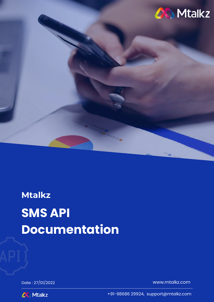

# **Mtalkz SMS API Documentation**

Date : 27/01/2022 [www.mtalkz.com](http://www.mtalkz.com/)



+91-98686 29924, support@mtalkz.com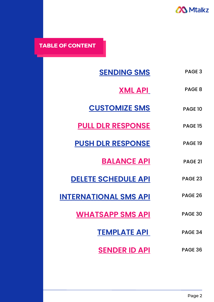

**TABLE OF CONTENT**

| <b>SENDING SMS</b>           | PAGE <sub>3</sub> |
|------------------------------|-------------------|
| <u>XML API</u>               | PAGE <sub>8</sub> |
| <b>CUSTOMIZE SMS</b>         | <b>PAGE 10</b>    |
| <b>PULL DLR RESPONSE</b>     | <b>PAGE 15</b>    |
| <b>PUSH DLR RESPONSE</b>     | <b>PAGE 19</b>    |
| <b>BALANCE API</b>           | <b>PAGE 21</b>    |
| <b>DELETE SCHEDULE API</b>   | <b>PAGE 23</b>    |
| <b>INTERNATIONAL SMS API</b> | <b>PAGE 26</b>    |
| <b>WHATSAPP SMS API</b>      | PAGE 30           |
| <b>TEMPLATE API</b>          | PAGE 34           |
| <b>SENDER ID API</b>         | PAGE 36           |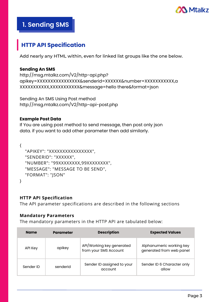

## **1. Sending SMS**

## **HTTP API Specification**

Add nearly any HTML within, even for linked list groups like the one below.

## **Sending An SMS**

```
http://msg.mtalkz.com/V2/http-api.php?
apikey=XXXXXXXXXXXXXXXX&senderid=XXXXXX&number=XXXXXXXXXXX,a
XXXXXXXXXXX,XXXXXXXXXXX&message=hello there&format=json
```
Sending An SMS Using Post method http://msg.mtalkz.com/V2/http-api-post.php

## **Example Post Data**

If You are using post method to send message, then post only json data. if you want to add other parameter then add similarly.

```
{
  "APIKEY": "XXXXXXXXXXXXXXXXX",
  "SENDERID": "XXXXXX",
  "NUMBER": "99XXXXXXXX,99XXXXXXXX",
  "MESSAGE": "MESSAGE TO BE SEND",
  "FORMAT": "JSON"
}
```
## **HTTP API Specification**

The API parameter specifications are described in the following sections

## **Mandatory Parameters**

The mandatory parameters in the HTTP API are tabulated below:

| <b>Name</b> | <b>Parameter</b> | <b>Description</b>                                 | <b>Expected Values</b>                               |
|-------------|------------------|----------------------------------------------------|------------------------------------------------------|
| API Key     | apikey           | API/Working key generated<br>from your SMS Account | Alphanumeric working key<br>generated from web panel |
| Sender ID   | senderid         | Sender ID assigned to your<br>account              | Sender ID 6 Character only<br>allow                  |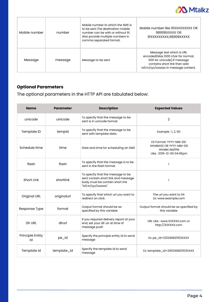

| Mobile number | number  | Mobile number to which the SMS is<br>to be sent. The destination mobile<br>number can be with or without 91.<br>Also provide multiple numbers in<br>comma separated format. | Mobile number like 91XXXXXXXXX OR<br>98908XXXXX OR<br>91XXXXXXXXX,98908XXXXX                                                                                             |
|---------------|---------|-----------------------------------------------------------------------------------------------------------------------------------------------------------------------------|--------------------------------------------------------------------------------------------------------------------------------------------------------------------------|
| Message       | message | Message to be sent                                                                                                                                                          | Message text which is URL<br>encoded(Max 1000 char for normal,<br>500 for unicode). If message<br>contains short link then add<br>tx5.in/xyz/xxxxxxx in message content. |

## **Optional Parameters**

The optional parameters in the HTTP API are tabulated below:

| <b>Name</b>            | <b>Parameter</b> | <b>Description</b>                                                                                                                   | <b>Expected Values</b>                                                                     |
|------------------------|------------------|--------------------------------------------------------------------------------------------------------------------------------------|--------------------------------------------------------------------------------------------|
| unicode                | unicode          | To specify that the message to be<br>sent is in unicode format.                                                                      | $\overline{2}$                                                                             |
| Template ID            | tempid           | To specify that the message to be<br>sent with template data.                                                                        | Example : 1, 2, 101                                                                        |
| Schedule time          | time             | Date and time for scheduling an SMS                                                                                                  | EX Format: YYYY-MM-DD<br>HH:MM:SS OR YYYY-MM-DD<br>HH:MM AM/PM<br>Like: 2016-12-06 04:45pm |
| flash                  | flash            | To specify that the message is to be<br>sent in the flash format.                                                                    | ı                                                                                          |
| Short Link             | shortlink        | To specify that the message to be<br>sent contain short link and message<br>body must be contain short link<br>"tx5.in/xyz/xxxxxxx". | 1                                                                                          |
| <b>Original URL</b>    | originalurl      | To specify that which url you want to<br>redirect on click.                                                                          | The url you want to hit<br>Ex: www.example.com                                             |
| Response Type          | format           | Output format should be as<br>specified by this variable                                                                             | Output format should be as specified by<br>this variable                                   |
| <b>DIr URL</b>         | dlrurl           | If you required delivery report at your<br>end, set your dir uir at time of<br>message push                                          | URL Like: www.XXXXXX.com or<br>http://xxxxxx.com                                           |
| Principle Entity<br>Id | pe_id            | Specify the principle entity id to send<br>message                                                                                   | Ex: pe_id=120346821103XXXX                                                                 |
| Template Id            | template_id      | Specify the template id to send<br>message                                                                                           | Ex: template_id=290346821103XXXX                                                           |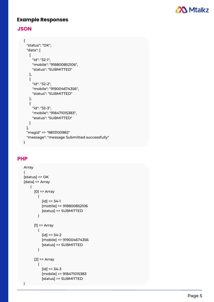

## **E x a m p l e R e s p o n s e s**

## **J S O N**

```
{
  "status": "OK",
 "data": [ { "id": "32-1", "mobile": "918800852106",
     "status": "SUBMITTED"
   },{
     "id": "32-2",
     "mobile": "919004674356",
     "status": "SUBMITTED"
   },{
     "id": "32-3",
     "mobile": "918471015383",
     "status": "SUBMITTED"
   }
  ],<br>"msgid" => "9813100982"
  "message": "message Submitted successfully"
}
```
## **P H P**

```
Array
\overline{ }([
 status] => OK
[data] => Array
    (
       [
0
]
=
>
A
r
r
a
y
          (
             [id] => 34-1
             [
m
o
bile
]
=
>
9
1
8
8
0
0
8
5
2
1
0
6
             [status] => SUBMITTED
          )
       [1] => Array
          (
             [id] => 34-2
             [
m
o
bile
]
=
>
9
1
9
0
0
4
6
7
4
3
5
6
             [status] => SUBMITTED
          )
       [2] => Array
          (
             [id] => 34-3
             [
m
o
bile
]
=
>
9
1
8
4
7
1
0
1
5
3
8
3
             [status] => SUBMITTED
)
```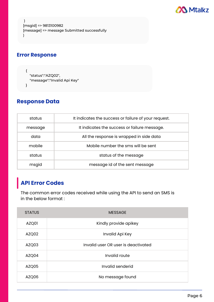

```
)
[msgid] => 9813100982
[message] => message Submitted successfully
)
```
## **Error Response**

```
{
  "status":"AZQ02",
  "message":"Invalid Api Key"
}
```
## **Response Data**

| status  | It indicates the success or failure of your request. |  |
|---------|------------------------------------------------------|--|
| message | It indicates the success or failure message.         |  |
| data    | All the response is wrapped in side data             |  |
| mobile  | Mobile number the sms will be sent                   |  |
| status  | status of the message                                |  |
| msgid   | message id of the sent message                       |  |

## **API Error Codes**

The common error codes received while using the API to send an SMS is in the below format :

| <b>STATUS</b> | <b>MESSAGE</b>                      |
|---------------|-------------------------------------|
| AZQ01         | Kindly provide apikey               |
| AZQ02         | Invalid Api Key                     |
| AZQ03         | Invalid user OR user is deactivated |
| AZQ04         | Invalid route                       |
| AZQ05         | Invalid senderid                    |
| AZQ06         | No message found                    |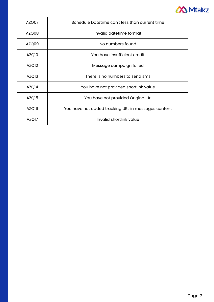

| AZQ07             | Schedule Datetime can't less than current time      |  |
|-------------------|-----------------------------------------------------|--|
| AZQ08             | Invalid datetime format                             |  |
| AZQ09             | No numbers found                                    |  |
| AZQ10             | You have insufficient credit                        |  |
| AZQ <sub>12</sub> | Message campaign failed                             |  |
| AZQ <sub>13</sub> | There is no numbers to send sms                     |  |
| AZQ <sub>14</sub> | You have not provided shortlink value               |  |
| AZQ <sub>15</sub> | You have not provided Original Url                  |  |
| AZQ16             | You have not added tracking URL in messages content |  |
| AZQ17             | Invalid shortlink value                             |  |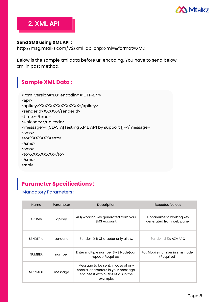

## **2. XML API**

## **Send SMS using XML API :**

http://msg.mtalkz.com/V2/xml-api.php?xml=&format=XML;

Below is the sample xml data before url encoding. You have to send below xml in post method.

## **Sample XML Data :**

```
<?xml version="1.0" encoding="UTF-8"?>
<api>
<apikey>XXXXXXXXXXXXXXX</apikey>
<senderid>XXXXX</senderid>
<time></time>
<unicode></unicode>
<message><![CDATA[Testing XML API by support ]]></message>
<sms>
<to>XXXXXXXX</to>
</sms>
<sms>
<to>XXXXXXXXX</to>
</sms>
</api>
```
## **Parameter Specifications :**

## Mandatory Parameters :

| <b>Name</b>     | Parameter | Description                                                                                                                 | <b>Expected Values</b>                               |
|-----------------|-----------|-----------------------------------------------------------------------------------------------------------------------------|------------------------------------------------------|
| API Key         | apikey    | API/Working key generated from your<br>SMS Account.                                                                         | Alphanumeric working key<br>generated from web panel |
| <b>SENDERIC</b> | senderid  | Sender ID 6 Character only allow.                                                                                           | Sender id EX: AZMARQ                                 |
| <b>NUMBER</b>   | number    | Enter multiple number SMS Node(can<br>repeat.(Required)                                                                     | to : Mobile number in sms node.<br>(Required)        |
| <b>MESSAGE</b>  | message   | Message to be sent. In case of any<br>special characters in your message,<br>enclose it within CDATA a s in the<br>example. |                                                      |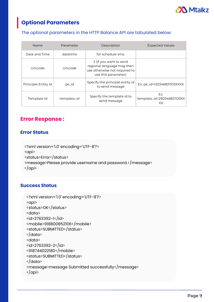

## **Optional Parameters**

## The optional parameters in the HTTP Balance API are tabulated below:

| <b>Name</b>         | Parameter   | Description                                                                                                   | <b>Expected Values</b>                  |
|---------------------|-------------|---------------------------------------------------------------------------------------------------------------|-----------------------------------------|
| Date and Time       | datetime    | for schedule sms.                                                                                             |                                         |
| Unicode             | Unicode     | 2 (if you want to send<br>regional language msg then<br>use otherwise not required to<br>use this parameter). |                                         |
| Principle Entity Id | pe_id       | Specify the principle entity id<br>to send message                                                            | Ex: pe_id=120346821103XXXX              |
| Template Id         | template_id | Specify the template id to<br>send message                                                                    | Ex:<br>template_id=290346821103XX<br>XX |

## **Error Response :**

## **Error Status**

```
<?xml version='1.0' encoding='UTF-8'?>
<api>
<status>Error</status>
<message>Please provide username and password.</message>
</api>
```
## **Success Status**

```
<?xml version='1.0' encoding='UTF-8'?>
<api>
<status>OK</status>
<data>
<id>2763392-1</id>
<mobile>918800852106</mobile>
<status>SUBMITTED</status>
</data>
<data>
<id>2763392-2</id>
<918744022180</mobile>
<status>SUBMITTED</status>
</data>
<message>message Submitted successfully</message>
\langle / api\rangle
```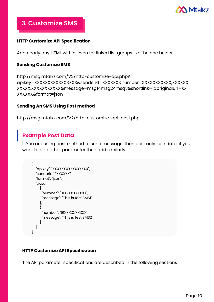

**3. Customize SMS**

## **HTTP Customize API Specification**

Add nearly any HTML within, even for linked list groups like the one below.

## **Sending Customize SMS**

```
http://msg.mtalkz.com/V2/http-customize-api.php?
apikey=XXXXXXXXXXXXXXXX&senderid=XXXXXX&number=XXXXXXXXXXX,XXXXXX
XXXXX,XXXXXXXXXXX&message=msg1^msg2^msg3&shortlink=1&originalurl=XX
XXXXXX&format=json
```
## **Sending An SMS Using Post method**

```
http://msg.mtalkz.com/V2/http-customize-api-post.php
```
## **Example Post Data**

If You are using post method to send message, then post only json data. if you want to add other parameter then add similarly.

```
{
  "apikey": "XXXXXXXXXXXXXXX",
  "senderid": "XXXXXX",
  "format": "json",
  "data": [
    {
      "number": "91XXXXXXXXXX",
     "message": "This is test SMS1"
    },
    {
     "number": "91XXXXXXXXXX",
     "message": "This is test SMS2"
    }
  ]
}
```
## **HTTP Customize API Specification**

The API parameter specifications are described in the following sections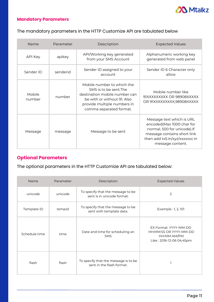

## **Mandatory Parameters**

## The mandatory parameters in the HTTP Customize API are tabulated below

| Name             | Parameter | Description                                                                                                                                                                    | <b>Expected Values</b>                                                                                                                                                     |
|------------------|-----------|--------------------------------------------------------------------------------------------------------------------------------------------------------------------------------|----------------------------------------------------------------------------------------------------------------------------------------------------------------------------|
| <b>API Key</b>   | apikey    | API/Working key generated<br>from your SMS Account                                                                                                                             | Alphanumeric working key<br>generated from web panel                                                                                                                       |
| Sender ID        | senderid  | Sender ID assigned to your<br>account                                                                                                                                          | Sender ID 6 Character only<br>allow                                                                                                                                        |
| Mobile<br>number | number    | Mobile number to which the<br>SMS is to be sent. The<br>destination mobile number can<br>be with or without 91. Also<br>provide multiple numbers in<br>comma separated format. | Mobile number like<br>91XXXXXXXXX OR 98908XXXXX<br>OR 91XXXXXXXXX,98908XXXXX                                                                                               |
| Message          | message   | Message to be sent                                                                                                                                                             | Message text which is URL<br>encoded(Max 1000 char for<br>normal, 500 for unicode).If<br>message contains short link<br>then add tx5.in/xyz/xxxxxxx in<br>message content. |

## **Optional Parameters**

## The optional parameters in the HTTP Customize API are tabulated below:

| Name          | Parameter | Description                                                       | <b>Expected Values</b>                                                                     |
|---------------|-----------|-------------------------------------------------------------------|--------------------------------------------------------------------------------------------|
| unicode       | unicode   | To specify that the message to be<br>sent is in unicode format.   | 2                                                                                          |
| Template ID   | tempid    | To specify that the message to be<br>sent with template data.     | Example : 1, 2, 101                                                                        |
| Schedule time | time      | Date and time for scheduling an<br><b>SMS</b>                     | EX Format: YYYY-MM-DD<br>HH:MM:SS OR YYYY-MM-DD<br>HH:MM AM/PM<br>Like: 2016-12-06 04:45pm |
| flash         | flash     | To specify that the message is to be<br>sent in the flash format. |                                                                                            |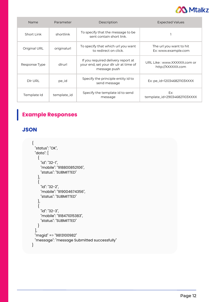

| Name          | Parameter   | Description                                                                                 | <b>Expected Values</b>                            |
|---------------|-------------|---------------------------------------------------------------------------------------------|---------------------------------------------------|
| Short Link    | shortlink   | To specify that the message to be<br>sent contain short link.                               |                                                   |
| Original URL  | originalurl | To specify that which url you want<br>to redirect on click.                                 | The url you want to hit<br>Ex: www.example.com    |
| Response Type | dlrurl      | If you required delivery report at<br>your end, set your dir uir at time of<br>message push | URL Like : www.XXXXXX.com or<br>http://XXXXXX.com |
| Dir URL       | pe_id       | Specify the principle entity id to<br>send message                                          | Ex: pe_id=120346821103XXXX                        |
| Template Id   | template_id | Specify the template id to send<br>message                                                  | Ex:<br>template_id=290346821103XXXX               |

## **Example Responses**

**JSON**

```
{
 "status": "OK",
 "data": [
   \{"id": "32-1",
     "mobile": "918800852106",
     "status": "SUBMITTED"
   },
   {
     "id": "32-2",
     "mobile": "919004674356",
     "status": "SUBMITTED"
   },
   {
     "id": "32-3",
     "mobile": "918471015383",
     "status": "SUBMITTED"
   }
 ],
 "msgid" => "9813100982"
 "message": "message Submitted successfully"
}
```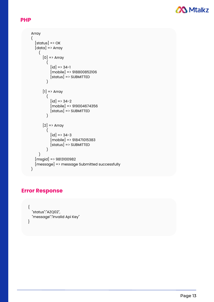

## **PHP**

```
Array
(
  [status] \Rightarrow OK[data] => Array
    \left([0] => Array
         (
           [id] => 34-1
           [mobile] => 918800852106
           [status] => SUBMITTED
         )
      [1] \Rightarrow Array
         (
           [id] => 34-2
           [mobile] => 919004674356
           [status] => SUBMITTED
         )
      [2] \Rightarrow Array
         (
           [id] => 34-3
           [mobile] => 918471015383
           [status] => SUBMITTED
         )
    )
  [msgid] => 9813100982
  [message] => message Submitted successfully
)
```
## **Error Response**

```
{
  "status":"AZQ02",
  "message":"Invalid Api Key"
}
```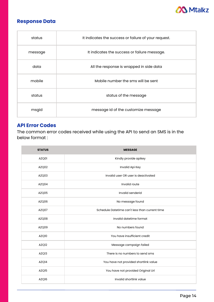

## **Response Data**

| status  | It indicates the success or failure of your request. |
|---------|------------------------------------------------------|
| message | It indicates the success or failure message.         |
| data    | All the response is wrapped in side data             |
| mobile  | Mobile number the sms will be sent                   |
| status  | status of the message                                |
| msgid   | message id of the customize message                  |

## **API Error Codes**

The common error codes received while using the API to send an SMS is in the below format :

| <b>STATUS</b>     | <b>MESSAGE</b>                                 |
|-------------------|------------------------------------------------|
| AZQ01             | Kindly provide apikey                          |
| AZQ02             | Invalid Api Key                                |
| AZQ03             | Invalid user OR user is deactivated            |
| AZQ04             | Invalid route                                  |
| AZQ05             | Invalid senderid                               |
| AZQ06             | No message found                               |
| AZQ07             | Schedule Datetime can't less than current time |
| AZQ08             | Invalid datetime format                        |
| AZQ09             | No numbers found                               |
| AZQ10             | You have insufficient credit                   |
| AZQ12             | Message campaign failed                        |
| AZQ <sub>13</sub> | There is no numbers to send sms                |
| AZQ14             | You have not provided shortlink value          |
| AZQ15             | You have not provided Original Url             |
| AZQ16             | Invalid shortlink value                        |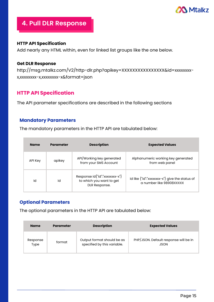

## **4. Pull DLR Response**

### **HTTP API Specification**

Add nearly any HTML within, even for linked list groups like the one below.

#### **Get DLR Response**

http://msg.mtalkz.com/V2/http-dlr.php?apikey=XXXXXXXXXXXXXXXX&id=xxxxxxxxx,xxxxxxxx-x,xxxxxxxx-x&format=json

## **HTTP API Specification**

The API parameter specifications are described in the following sections

## **Mandatory Parameters**

The mandatory parameters in the HTTP API are tabulated below:

| <b>Name</b> | Parameter | <b>Description</b>                                                          | <b>Expected Values</b>                                                     |
|-------------|-----------|-----------------------------------------------------------------------------|----------------------------------------------------------------------------|
| API Key     | apikey    | API/Working key generated<br>from your SMS Account                          | Alphanumeric working key generated<br>from web panel                       |
| Id          | id        | Response id{"id":"xxxxxxxx-x"}<br>to which you want to get<br>DLR Response. | id like {"id":"xxxxxxxx-x"} give the status of<br>g number like 98908XXXXX |

## **Optional Parameters**

The optional parameters in the HTTP API are tabulated below:

| <b>Name</b> | <b>Parameter</b> | <b>Description</b>          | <b>Expected Values</b>                |
|-------------|------------------|-----------------------------|---------------------------------------|
| Response    | format           | Output format should be as  | PHP/JSON. Default response will be in |
| Type        |                  | specified by this variable. | <b>JSON</b>                           |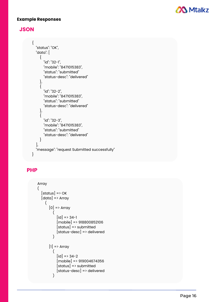

## **E x a m p l e R e s p o n s e s**

## **J S O N**

```
{
  "status": "OK",
  "data": [
     {
       "id": "32-1",
       "mobile": "8471015383",
       "status": "submitted"
       "status-desc": "delivered"
     }
,
     {
       "id": "32-2",
       "mobile": "8471015383",
       "status": "submitted"
       "status-desc": "delivered"
     }
,
     {
       "id": "32-3",
       "mobile": "8471015383",
       "status": "submitted"
       "status-desc": "delivered"
     }
  ]
,
  "message": "request Submitted successfully"
}
```
## **P H P**

```
Array
(
    \left\lfloor \frac{\text{status}}{\text{status}} \right\rfloor \Rightarrow \text{OK}[
d
a
t
a
]
=
>
A
r
r
a
y
        (
             [0] \Rightarrow Array
                \left(\lfloor id \rfloor = \frac{1}{2} 34-1
                     [
m
o
bile
]
=
>
9
1
8
8
0
0
8
5
2
1
0
6
                     \lbrack status\rbrack \Rightarrow submitted
                     \lbrackstatus-desc\rbrack \rightarrow delivered
                )
             [1] \Rightarrow Array
                (
                     [d] => 34-2
                     [
m
o
bile
]
=
>
9
1
9
0
0
4
6
7
4
3
5
6
                     \lbrack status\rbrack \Rightarrow submitted
                     \lbrackstatus-desc\rbrack \rightarrow delivered
                )
```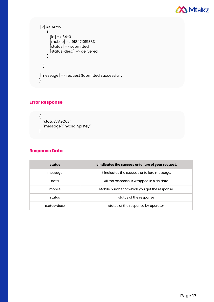

$$
[2] = \text{Array}
$$
\n
$$
([id] = \text{34-3}
$$
\n
$$
[mobile] = \text{318471015383}
$$
\n
$$
[status] = \text{318471015383}
$$
\n
$$
[status = \text{318471015383}]
$$
\n
$$
[status = \text{318471015383}]
$$
\n
$$
[status = \text{318471015383}]
$$
\n
$$
]
$$
\n
$$
]
$$
\n
$$
]
$$
\n
$$
]
$$
\n
$$
]
$$
\n
$$
]
$$
\n
$$
]
$$
\n
$$
]
$$
\n
$$
]
$$
\n
$$
]
$$
\n
$$
]
$$
\n
$$
]
$$
\n
$$
]
$$
\n
$$
]
$$
\n
$$
]
$$
\n
$$
]
$$
\n
$$
]
$$
\n
$$
]
$$
\n
$$
]
$$
\n
$$
]
$$
\n
$$
]
$$
\n
$$
]
$$
\n
$$
]
$$
\n
$$
]
$$
\n
$$
]
$$
\n
$$
]
$$
\n
$$
]
$$
\n
$$
]
$$
\n
$$
]
$$
\n
$$
]
$$
\n
$$
]
$$
\n
$$
]
$$
\n
$$
]
$$
\n
$$
]
$$
\n
$$
]
$$
\n
$$
]
$$
\n
$$
]
$$
\n
$$
]
$$
\n
$$
]
$$
\n
$$
]
$$
\n
$$
]
$$
\n
$$
]
$$
\n
$$
]
$$
\n
$$
]
$$
\n
$$
]
$$
\n
$$
]
$$
\n
$$
]
$$
\n
$$
]
$$
\n
$$
]
$$
\n
$$
]
$$
\n
$$
]
$$
\n
$$
]
$$
\n
$$
]
$$
\n
$$
]
$$
\n
$$
]
$$
\n
$$
]
$$
\n
$$
]
$$
\n
$$
]
$$
\n<

## **Error Response**

```
{
  "status":"AZQ02",
  "message":"Invalid Api Key"
}
```
## **Response Data**

| status      | It indicates the success or failure of your request. |  |
|-------------|------------------------------------------------------|--|
| message     | It indicates the success or failure message.         |  |
| data        | All the response is wrapped in side data             |  |
| mobile      | Mobile number of which you get the response          |  |
| status      | status of the response                               |  |
| status-desc | status of the response by operator                   |  |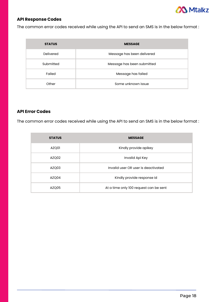

## **API Response Codes**

The common error codes received while using the API to send an SMS is in the below format :

| <b>STATUS</b> | <b>MESSAGE</b>             |
|---------------|----------------------------|
| Delivered     | Message has been delivered |
| Submitted     | Message has been submitted |
| Failed        | Message has failed         |
| Other         | Some unknown issue         |

#### **API Error Codes**

The common error codes received while using the API to send an SMS is in the below format :

| <b>STATUS</b> | <b>MESSAGE</b>                         |
|---------------|----------------------------------------|
| AZQ01         | Kindly provide apikey                  |
| AZQ02         | Invalid Api Key                        |
| AZQ03         | Invalid user OR user is deactivated    |
| AZQ04         | Kindly provide response id             |
| AZQ05         | At a time only 100 request can be sent |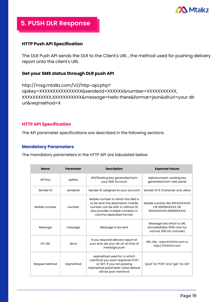

## **5. PUSH DLR Response**

### **HTTP Push API Specification**

The DLR Push API sends the DLR to the Client's URL , the method used for pushing delivery report onto the client's URL

### **Get your SMS status through DLR push API**

```
http://msg.mtalkz.com/V2/http-api.php?
apikey=XXXXXXXXXXXXXXXX&senderid=XXXXXX&number=XXXXXXXXXXX,
XXXXXXXXXXX,XXXXXXXXXXX&message=hello there&format=json&dlrurl=your dlr
url&reqmethod=X
```
### **HTTP API Specification**

The API parameter specifications are described in the following sections

#### **Mandatory Parameters**

The mandatory parameters in the HTTP API are tabulated below:

| <b>Name</b>           | <b>Parameter</b> | <b>Description</b>                                                                                                                                                          | <b>Expected Values</b>                                                             |
|-----------------------|------------------|-----------------------------------------------------------------------------------------------------------------------------------------------------------------------------|------------------------------------------------------------------------------------|
| <b>API Key</b>        | apikey           | API/Working key generated from<br>your SMS Account                                                                                                                          | Alphanumeric working key<br>generated from web panel                               |
| Sender ID             | senderid         | Sender ID assigned to your account                                                                                                                                          | Sender ID 6 Character only allow                                                   |
| Mobile number         | number           | Mobile number to which the SMS is<br>to be sent. The destination mobile<br>number can be with or without 91.<br>Also provide multiple numbers in<br>comma separated format. | Mobile number like 91XXXXXXXXX<br>OR 98908XXXXX OR<br>91XXXXXXXXX,98908XXXXX       |
| Message               | message          | Message to be sent                                                                                                                                                          | Message text which is URL<br>encoded(Max 1000 char for<br>normal, 500 for unicode) |
| Dir URL               | dlrurl           | If you required delivery report at<br>your end, set your dir uir at time of<br>message push                                                                                 | URL Like: www.XXXXXX.com or<br>http://xxxxxx.com                                   |
| <b>Request Method</b> | regmethod        | reqmethod used for, in which<br>menthod you want response POST<br>or GET. If you not passing<br>reqmethod parameter value default<br>will be post menthod                   | "post" for POST and "get" for GET                                                  |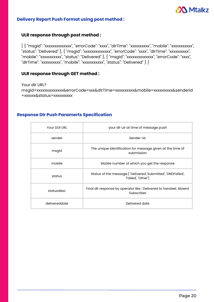

#### **Delivery Report Push Format using post method :**

#### **ULR response through post method :**

[ { "msgid": "xxxxxxxxxxxxxx", "errorCode": "xxxx", "dlrTime": "xxxxxxxxxx", "mobile": "xxxxxxxxxxx", "status": "Delivered" }, { "msgid": "xxxxxxxxxxxxxx", "errorCode": "xxxx", "dlrTime": "xxxxxxxxxx", "mobile": "xxxxxxxxxxx", "status": "Delivered" }, { "msgid": "xxxxxxxxxxxxxx", "errorCode": "xxxx", "dlrTime": "xxxxxxxxx", "mobile": "xxxxxxxxxxx", "status": "Delivered" } ]

### **ULR response through GET method :**

Your dlr URL? msgid=xxxxxxxxxxxxxx&errorCode=xxx&dlrTime=xxxxxxxxxx&mobile=xxxxxxxxxx&senderid =xxxxxx&status=xxxxxxxxxx

## **Response Dlr Push Paramerts Specification**

| Your DLR URL  | your dir uir at time of message push                                                |
|---------------|-------------------------------------------------------------------------------------|
| sender        | Sender-id.                                                                          |
| msgid         | The unique identification for message given at the time of<br>submission            |
| mobile        | Mobile number of which you get the response                                         |
| status        | Status of the message.( 'Delivered','Submitted', 'DNDFailed',<br>'Failed', 'Other') |
| statusdesc    | Final dlr response by operator like : Delivered to handset, Absent<br>Subscriber    |
| delivereddate | Delivered date                                                                      |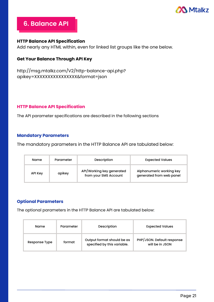

## **6. Balance API**

## **HTTP Balance API Specification**

Add nearly any HTML within, even for linked list groups like the one below.

## **Get Your Balance Through API Key**

```
http://msg.mtalkz.com/V2/http-balance-api.php?
apikey=XXXXXXXXXXXXXXXX&format=json
```
#### **HTTP Balance API Specification**

The API parameter specifications are described in the following sections

#### **Mandatory Parameters**

The mandatory parameters in the HTTP Balance API are tabulated below:

| Name    | Parameter | Description                                        | <b>Expected Values</b>                               |
|---------|-----------|----------------------------------------------------|------------------------------------------------------|
| API Key | apikey    | API/Working key generated<br>from your SMS Account | Alphanumeric working key<br>generated from web panel |

#### **Optional Parameters**

The optional parameters in the HTTP Balance API are tabulated below:

| Name          | Parameter | Description                                               | <b>Expected Values</b>                        |
|---------------|-----------|-----------------------------------------------------------|-----------------------------------------------|
| Response Type | format    | Output format should be as<br>specified by this variable. | PHP/JSON. Default response<br>will be in JSON |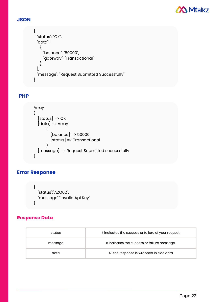

## **JSON**

```
{
 "status": "OK",
 "data": [
   {
    "balance": "50000",
    "gateway": "Transactional"
   },
 ],
 "message": "Request Submitted Successfully"
}
```
## **PHP**

```
Array
(
  [status] \Rightarrow OK[data] => Array
       (
         [balance] \Rightarrow 50000[status] => Transactional
       )
  [message] => Request Submitted successfully
)
```
## **Error Response**

```
{
  "status":"AZQ02",
 "message":"Invalid Api Key"
}
```
## **Response Data**

| status  | It indicates the success or failure of your request. |
|---------|------------------------------------------------------|
| message | It indicates the success or failure message.         |
| data    | All the response is wrapped in side data             |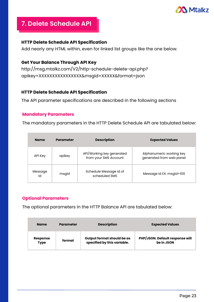

## **7. Delete Schedule API**

## **HTTP Delete Schedule API Specification**

Add nearly any HTML within, even for linked list groups like the one below.

### **Get Your Balance Through API Key**

http://msg.mtalkz.com/V2/http-schedule-delete-api.php? apikey=XXXXXXXXXXXXXXXX&msgid=XXXXX&format=json

### **HTTP Delete Schedule API Specification**

The API parameter specifications are described in the following sections

### **Mandatory Parameters**

The mandatory parameters in the HTTP Delete Schedule API are tabulated below:

| <b>Name</b>   | Parameter | <b>Description</b>                                 | <b>Expected Values</b>                               |
|---------------|-----------|----------------------------------------------------|------------------------------------------------------|
| API Key       | apikey    | API/Working key generated<br>from your SMS Account | Alphanumeric working key<br>generated from web panel |
| Message<br>Id | msgid     | Schedule Message id of<br>scheduled SMS            | Message id EX: msgid=100                             |

## **Optional Parameters**

The optional parameters in the HTTP Balance API are tabulated below:

| <b>Name</b>     | <b>Parameter</b> | <b>Description</b>          | <b>Expected Values</b>                 |
|-----------------|------------------|-----------------------------|----------------------------------------|
| <b>Response</b> | format           | Output format should be as  | <b>PHP/JSON. Default response will</b> |
| <b>Type</b>     |                  | specified by this variable. | be in JSON                             |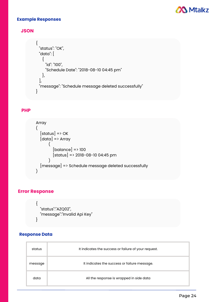

#### **Example Responses**

### **JSON**

```
{
 "status": "OK",
 "data": [
   {
     "id": "100",
     "Schedule Date": "2018-08-10 04:45 pm"
   },
 ],
 "message": "Schedule message deleted successfully"
}
```
### **PHP**

```
Array
(
  [status] \Rightarrow OK[data] \Rightarrow Array
       (
          [balance] \Rightarrow 100[status] => 2018-08-10 04:45 pm
       \lambda[message] => Schedule message deleted successfully
)
```
## **Error Response**

 $\{$ 

}

```
"status":"AZQ02",
"message":"Invalid Api Key"
```
### **Response Data**

| status  | It indicates the success or failure of your request. |
|---------|------------------------------------------------------|
| message | It indicates the success or failure message.         |
| data    | All the response is wrapped in side data             |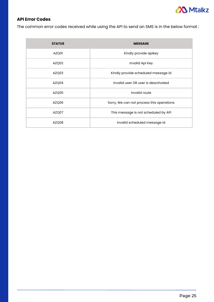

## **API Error Codes**

The common error codes received while using the API to send an SMS is in the below format :

| <b>STATUS</b> | <b>MESSAGE</b>                            |
|---------------|-------------------------------------------|
| AZQ01         | Kindly provide apikey                     |
| AZQ02         | Invalid Api Key                           |
| AZQ03         | Kindly provide scheduled message id       |
| AZQ04         | Invalid user OR user is deactivated       |
| AZQ05         | Invalid route                             |
| AZQ06         | Sorry, We can not process this operations |
| AZQ07         | This message is not scheduled by API      |
| AZQ08         | Invalid scheduled message id              |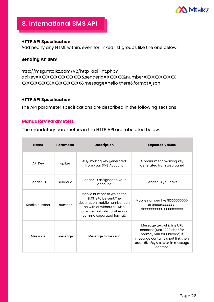

## **8. International SMS API**

### **HTTP API Specification**

Add nearly any HTML within, even for linked list groups like the one below.

### **Sending An SMS**

```
http://msg.mtalkz.com/V2/http-api-int.php?
apikey=XXXXXXXXXXXXXXXX&senderid=XXXXXX&number=XXXXXXXXXXX,
XXXXXXXXXXX,XXXXXXXXXXX&message=hello there&format=json
```
#### **HTTP API Specification**

The API parameter specifications are described in the following sections

## **Mandatory Parameters**

The mandatory parameters in the HTTP API are tabulated below:

| <b>Name</b>   | <b>Parameter</b> | <b>Description</b>                                                                                                                                                             | <b>Expected Values</b>                                                                                                                                                      |
|---------------|------------------|--------------------------------------------------------------------------------------------------------------------------------------------------------------------------------|-----------------------------------------------------------------------------------------------------------------------------------------------------------------------------|
| API Key       | apikey           | API/Working key generated<br>from your SMS Account                                                                                                                             | Alphanumeric working key<br>generated from web panel                                                                                                                        |
| Sender ID     | senderid         | Sender ID assigned to your<br>account                                                                                                                                          | Sender ID you have                                                                                                                                                          |
| Mobile number | number           | Mobile number to which the<br>SMS is to be sent. The<br>destination mobile number can<br>be with or without 91. Also<br>provide multiple numbers in<br>comma separated format. | Mobile number like 91XXXXXXXXX<br>OR 98908XXXXX OR<br>91XXXXXXXX,98908XXXXX                                                                                                 |
| Message       | message          | Message to be sent                                                                                                                                                             | Message text which is URL<br>encoded(Max 1000 char for<br>normal, 500 for unicode). If<br>message contains short link then<br>add tx5.in/xyz/xxxxxxx in message<br>content. |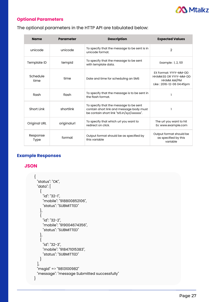

## **Optional Parameters**

The optional parameters in the HTTP API are tabulated below:

| <b>Name</b>             | <b>Parameter</b> | <b>Description</b>                                                                                                               | <b>Expected Values</b>                                                                     |
|-------------------------|------------------|----------------------------------------------------------------------------------------------------------------------------------|--------------------------------------------------------------------------------------------|
| unicode                 | unicode          | To specify that the message to be sent is in<br>unicode format.                                                                  | $\overline{2}$                                                                             |
| Template ID             | tempid           | To specify that the message to be sent<br>with template data.                                                                    | Example : 1, 2, 101                                                                        |
| Schedule<br>time        | time             | Date and time for scheduling an SMS                                                                                              | EX Format: YYYY-MM-DD<br>HH:MM:SS OR YYYY-MM-DD<br>HH:MM AM/PM<br>Like: 2016-12-06 04:45pm |
| flash                   | flash            | To specify that the message is to be sent in<br>the flash format.                                                                |                                                                                            |
| Short Link              | shortlink        | To specify that the message to be sent<br>contain short link and message body must<br>be contain short link "tx5.in/xyz/xxxxxx". |                                                                                            |
| Original URL            | originalurl      | To specify that which url you want to<br>redirect on click.                                                                      | The url you want to hit<br>Ex: www.example.com                                             |
| Response<br><b>Type</b> | format           | Output format should be as specified by<br>this variable                                                                         | Output format should be<br>as specified by this<br>variable                                |

## **Example Responses**

## **JSON**

```
{
 "status": "OK",
 "data": [
   {
     "id": "32-1",
     "mobile": "918800852106",
     "status": "SUBMITTED"
   },
   {
     "id": "32-2",
     "mobile": "919004674356",
     "status": "SUBMITTED"
   },
   {
     "id": "32-3",
     "mobile": "918471015383",
     "status": "SUBMITTED"
   }
 ],
 "msgid" => "9813100982"
 "message": "message Submitted successfully"
}
```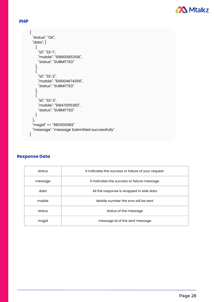

### **PHP**

```
{
 "status": "OK",
 "data": [
   {
     "id": "32-1",
     "mobile": "918800852106",
     "status": "SUBMITTED"
   },
   {
     "id": "32-2",
     "mobile": "919004674356",
     "status": "SUBMITTED"
   },
   {
     "id": "32-3",
     "mobile": "918471015383",
     "status": "SUBMITTED"
   }
 ],
 "msgid" => "9813100982"
 "message": "message Submitted successfully"
}
```
#### **Response Data**

| status  | It indicates the success or failure of your request. |
|---------|------------------------------------------------------|
| message | It indicates the success or failure message.         |
| data    | All the response is wrapped in side data             |
| mobile  | Mobile number the sms will be sent                   |
| status  | status of the message                                |
| msgid   | message id of the sent message                       |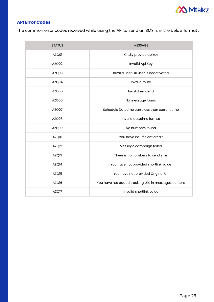

## **API Error Codes**

The common error codes received while using the API to send an SMS is in the below format :

| <b>STATUS</b>     | <b>MESSAGE</b>                                      |
|-------------------|-----------------------------------------------------|
| AZQ01             | Kindly provide apikey                               |
| AZQ02             | Invalid Api Key                                     |
| AZQ03             | Invalid user OR user is deactivated                 |
| AZQ04             | Invalid route                                       |
| AZQ05             | Invalid senderid                                    |
| AZQ06             | No message found                                    |
| AZQ07             | Schedule Datetime can't less than current time      |
| AZQ08             | Invalid datetime format                             |
| AZQ09             | No numbers found                                    |
| AZQ10             | You have insufficient credit                        |
| AZQ <sub>12</sub> | Message campaign failed                             |
| AZQ13             | There is no numbers to send sms                     |
| AZQ14             | You have not provided shortlink value               |
| AZQ15             | You have not provided Original Url                  |
| AZQ16             | You have not added tracking URL in messages content |
| AZQ17             | Invalid shortlink value                             |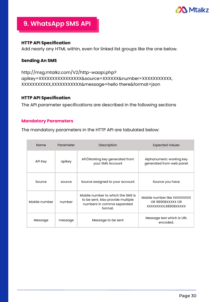

## **9. WhatsApp SMS API**

### **HTTP API Specification**

Add nearly any HTML within, even for linked list groups like the one below.

## **Sending An SMS**

http://msg.mtalkz.com/V2/http-waapi.php? apikey=XXXXXXXXXXXXXXXX&source=XXXXXX&number=XXXXXXXXXXX, XXXXXXXXXXX,XXXXXXXXXXX&message=hello there&format=json

## **HTTP API Specification**

The API parameter specifications are described in the following sections

#### **Mandatory Parameters**

The mandatory parameters in the HTTP API are tabulated below:

| Name          | Parameter | Description                                                                                                     | <b>Expected Values</b>                                                  |
|---------------|-----------|-----------------------------------------------------------------------------------------------------------------|-------------------------------------------------------------------------|
| API Key       | apikey    | API/Working key generated from<br>your SMS Account                                                              | Alphanumeric working key<br>generated from web panel                    |
| Source        | source    | Source assigned to your account                                                                                 | Source you have                                                         |
| Mobile number | number    | Mobile number to which the SMS is<br>to be sent. Also provide multiple<br>numbers in comma separated<br>format. | Mobile number like XXXXXXXXX<br>OR 98908XXXXX OR<br>XXXXXXXX,98908XXXXX |
| Message       | message   | Message to be sent                                                                                              | Message text which is URL<br>encoded.                                   |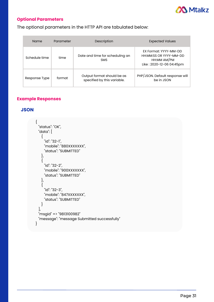

## **Optional Parameters**

The optional parameters in the HTTP API are tabulated below:

| <b>Name</b>   | Parameter | Description                                               | <b>Expected Values</b>                                                                     |
|---------------|-----------|-----------------------------------------------------------|--------------------------------------------------------------------------------------------|
| Schedule time | time      | Date and time for scheduling an<br><b>SMS</b>             | EX Format: YYYY-MM-DD<br>HH:MM:SS OR YYYY-MM-DD<br>HH:MM AM/PM<br>Like: 2020-12-06 04:45pm |
| Response Type | format    | Output format should be as<br>specified by this variable. | PHP/JSON. Default response will<br>be in JSON                                              |

## **Example Responses**

#### **JSON**

```
{
 "status": "OK",
 "data": [
   {
     "id": "32-1",
     "mobile": "880XXXXXXX",
     "status": "SUBMITTED"
   },
   {
     "id": "32-2",
    "mobile": "900XXXXXXX",
     "status": "SUBMITTED"
   },
   {
     "id": "32-3",
     "mobile": "847XXXXXXX",
     "status": "SUBMITTED"
   }
 ],
 "msgid" => "9813100982"
 "message": "message Submitted successfully"
}
```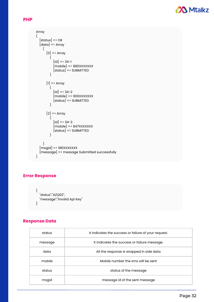

#### **PHP**

```
Array
(
  [status] \Rightarrow OK[data] \Rightarrow Array
    (
       [0] => Array
         (
            [id] => 34-1
            [{\rm mobile}] = \times 880XXXXXXX[status] => SUBMITTED
         )
       [1] => Array
         (
            [id] => 34-2
            [{\rm mobile}] => 900XXXXXXX
           [status] => SUBMITTED
         )
       [2] \Rightarrow Array
         (
            [id] => 34-3
            [{\rm mobile}] => 847XXXXXXX
           [status] => SUBMITTED
         )
    )
  [msgid] => 981XXXXXXX
  [message] => message Submitted successfully
)
```
## **Error Response**

```
{
  "status":"AZQ02",
  "message":"Invalid Api Key"
}
```
#### **Response Data**

| status  | It indicates the success or failure of your request. |
|---------|------------------------------------------------------|
| message | It indicates the success or failure message.         |
| data    | All the response is wrapped in side data             |
| mobile  | Mobile number the sms will be sent                   |
| status  | status of the message                                |
| msgid   | message id of the sent message                       |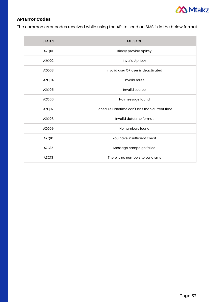

## **API Error Codes**

The common error codes received while using the API to send an SMS is in the below format

| <b>STATUS</b> | <b>MESSAGE</b>                                 |
|---------------|------------------------------------------------|
| AZQ01         | Kindly provide apikey                          |
| AZQ02         | Invalid Api Key                                |
| AZQ03         | Invalid user OR user is deactivated            |
| AZQ04         | Invalid route                                  |
| AZQ05         | Invalid source                                 |
| AZQ06         | No message found                               |
| AZQ07         | Schedule Datetime can't less than current time |
| AZQ08         | Invalid datetime format                        |
| AZQ09         | No numbers found                               |
| AZQ10         | You have insufficient credit                   |
| AZQ12         | Message campaign failed                        |
| AZQ13         | There is no numbers to send sms                |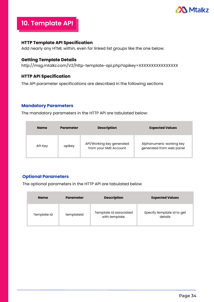

## **10. Template API**

### **HTTP Template API Specification**

Add nearly any HTML within, even for linked list groups like the one below.

## **Getting Template Details**

http://msg.mtalkz.com/V2/http-template-api.php?apikey=XXXXXXXXXXXXXXXX

## **HTTP API Specification**

The API parameter specifications are described in the following sections

#### **Mandatory Parameters**

The mandatory parameters in the HTTP API are tabulated below:

| <b>Name</b> | Parameter | <b>Description</b>                                 | <b>Expected Values</b>                               |
|-------------|-----------|----------------------------------------------------|------------------------------------------------------|
| API Key     | apikey    | API/Working key generated<br>from your SMS Account | Alphanumeric working key<br>generated from web panel |

## **Optional Parameters**

The optional parameters in the HTTP API are tabulated below

| <b>Name</b> | <b>Parameter</b> | <b>Description</b>                       | <b>Expected Values</b>                |
|-------------|------------------|------------------------------------------|---------------------------------------|
| Template id | templateid       | Template id associated<br>with template. | Specify template id to get<br>details |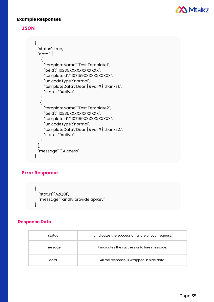

#### **Example Responses**



```
{
 "status": true,
 "data": [
   \{"templateName":"Test Template1",
     "peId":"110235XXXXXXXXXXXX",
    "templateId":"1107159XXXXXXXXXXX",
    "unicodeType":"normal",
    "templateData":"Dear {#var#} thanks1.",
    "status":"Active"
   },
  {
    "templateName":"Test Template2",
    "peId":"110235XXXXXXXXXXXXX",
    "templateId":"1107159XXXXXXXXXXX",
     "unicodeType":"normal",
    "templateData":"Dear {#var#} thanks2.",
     "status":"Active"
   }
 ],
 "message": "Success"
}
```
## **Error Response**

```
{
  "status":"AZQ01",
  "message":"Kindly provide apikey"
}
```
#### **Response Data**

| status  | It indicates the success or failure of your request. |
|---------|------------------------------------------------------|
| message | It indicates the success or failure message.         |
| data    | All the response is wrapped in side data             |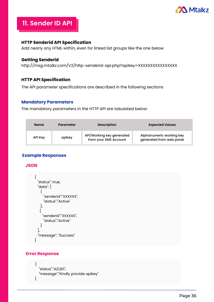

## **11. Sender ID API**

### **HTTP Senderid API Specification**

Add nearly any HTML within, even for linked list groups like the one below.

### **Getting Senderid**

```
http://msg.mtalkz.com/V2/http-senderid-api.php?apikey=XXXXXXXXXXXXXXXX
```
### **HTTP API Specification**

The API parameter specifications are described in the following sections

#### **Mandatory Parameters**

The mandatory parameters in the HTTP API are tabulated below:

| <b>Name</b>    | Parameter | <b>Description</b>                                 | <b>Expected Values</b>                               |
|----------------|-----------|----------------------------------------------------|------------------------------------------------------|
| <b>API Key</b> | apikey    | API/Working key generated<br>from your SMS Account | Alphanumeric working key<br>generated from web panel |

## **Example Responses**

#### **JSON**

```
{
 "status": true,
 "data": [
   {
     "senderid":"XXXXXX",
     "status":"Active"
   },
   {
     "senderid":"XXXXXX",
     "status":"Active"
   }
 ],
 "message": "Success"
}
```
#### **Error Response**

```
{
  "status":"AZQ01",
  "message":"Kindly provide apikey"
}
```